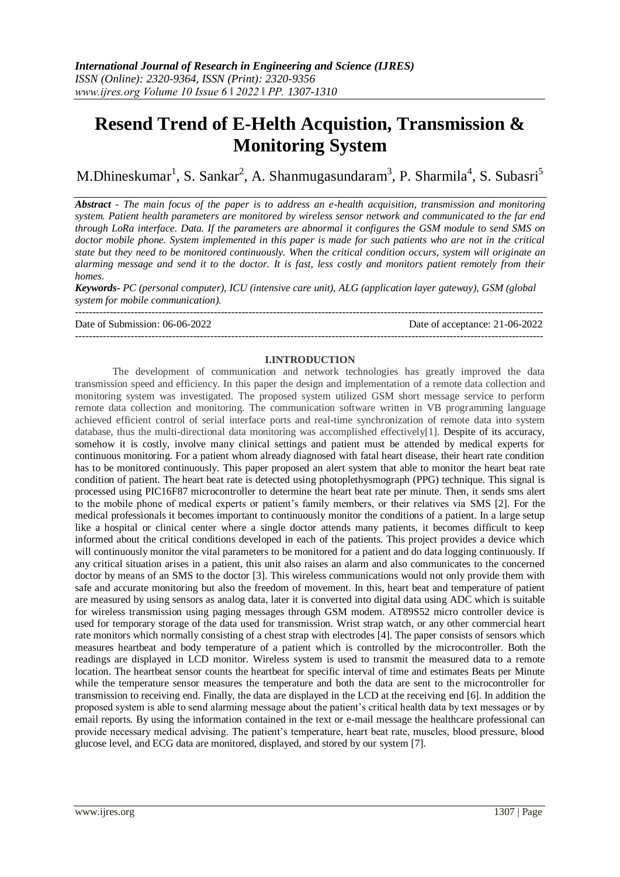# **Resend Trend of E-Helth Acquistion, Transmission & Monitoring System**

M.Dhineskumar<sup>1</sup>, S. Sankar<sup>2</sup>, A. Shanmugasundaram<sup>3</sup>, P. Sharmila<sup>4</sup>, S. Subasri<sup>5</sup>

*Abstract - The main focus of the paper is to address an e-health acquisition, transmission and monitoring system. Patient health parameters are monitored by wireless sensor network and communicated to the far end through LoRa interface. Data. If the parameters are abnormal it configures the GSM module to send SMS on doctor mobile phone. System implemented in this paper is made for such patients who are not in the critical state but they need to be monitored continuously. When the critical condition occurs, system will originate an alarming message and send it to the doctor. It is fast, less costly and monitors patient remotely from their homes.*

*Keywords- PC (personal computer), ICU (intensive care unit), ALG (application layer gateway), GSM (global system for mobile communication).*

--------------------------------------------------------------------------------------------------------------------------------------- Date of Submission: 06-06-2022 Date of acceptance: 21-06-2022 ---------------------------------------------------------------------------------------------------------------------------------------

#### **I.INTRODUCTION**

The development of communication and network technologies has greatly improved the data transmission speed and efficiency. In this paper the design and implementation of a remote data collection and monitoring system was investigated. The proposed system utilized GSM short message service to perform remote data collection and monitoring. The communication software written in VB programming language achieved efficient control of serial interface ports and real-time synchronization of remote data into system database, thus the multi-directional data monitoring was accomplished effectively[1]. Despite of its accuracy, somehow it is costly, involve many clinical settings and patient must be attended by medical experts for continuous monitoring. For a patient whom already diagnosed with fatal heart disease, their heart rate condition has to be monitored continuously. This paper proposed an alert system that able to monitor the heart beat rate condition of patient. The heart beat rate is detected using photoplethysmograph (PPG) technique. This signal is processed using PIC16F87 microcontroller to determine the heart beat rate per minute. Then, it sends sms alert to the mobile phone of medical experts or patient's family members, or their relatives via SMS [2]. For the medical professionals it becomes important to continuously monitor the conditions of a patient. In a large setup like a hospital or clinical center where a single doctor attends many patients, it becomes difficult to keep informed about the critical conditions developed in each of the patients. This project provides a device which will continuously monitor the vital parameters to be monitored for a patient and do data logging continuously. If any critical situation arises in a patient, this unit also raises an alarm and also communicates to the concerned doctor by means of an SMS to the doctor [3]. This wireless communications would not only provide them with safe and accurate monitoring but also the freedom of movement. In this, heart beat and temperature of patient are measured by using sensors as analog data, later it is converted into digital data using ADC which is suitable for wireless transmission using paging messages through GSM modem. AT89S52 micro controller device is used for temporary storage of the data used for transmission. Wrist strap watch, or any other commercial heart rate monitors which normally consisting of a chest strap with electrodes [4]. The paper consists of sensors which measures heartbeat and body temperature of a patient which is controlled by the microcontroller. Both the readings are displayed in LCD monitor. Wireless system is used to transmit the measured data to a remote location. The heartbeat sensor counts the heartbeat for specific interval of time and estimates Beats per Minute while the temperature sensor measures the temperature and both the data are sent to the microcontroller for transmission to receiving end. Finally, the data are displayed in the LCD at the receiving end [6]. In addition the proposed system is able to send alarming message about the patient's critical health data by text messages or by email reports. By using the information contained in the text or e-mail message the healthcare professional can provide necessary medical advising. The patient's temperature, heart beat rate, muscles, blood pressure, blood glucose level, and ECG data are monitored, displayed, and stored by our system [7].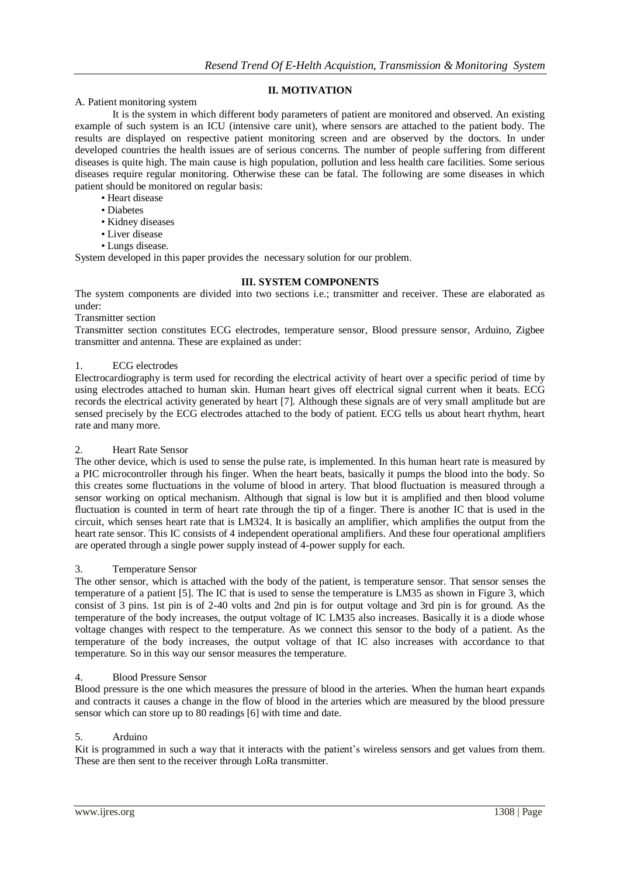# **II. MOTIVATION**

## A. Patient monitoring system

It is the system in which different body parameters of patient are monitored and observed. An existing example of such system is an ICU (intensive care unit), where sensors are attached to the patient body. The results are displayed on respective patient monitoring screen and are observed by the doctors. In under developed countries the health issues are of serious concerns. The number of people suffering from different diseases is quite high. The main cause is high population, pollution and less health care facilities. Some serious diseases require regular monitoring. Otherwise these can be fatal. The following are some diseases in which patient should be monitored on regular basis:

- Heart disease
- Diabetes
- Kidney diseases
- Liver disease
- Lungs disease.

System developed in this paper provides the necessary solution for our problem.

#### **III. SYSTEM COMPONENTS**

The system components are divided into two sections i.e.; transmitter and receiver. These are elaborated as under:

# Transmitter section

Transmitter section constitutes ECG electrodes, temperature sensor, Blood pressure sensor, Arduino, Zigbee transmitter and antenna. These are explained as under:

#### 1. ECG electrodes

Electrocardiography is term used for recording the electrical activity of heart over a specific period of time by using electrodes attached to human skin. Human heart gives off electrical signal current when it beats. ECG records the electrical activity generated by heart [7]. Although these signals are of very small amplitude but are sensed precisely by the ECG electrodes attached to the body of patient. ECG tells us about heart rhythm, heart rate and many more.

#### 2. Heart Rate Sensor

The other device, which is used to sense the pulse rate, is implemented. In this human heart rate is measured by a PIC microcontroller through his finger. When the heart beats, basically it pumps the blood into the body. So this creates some fluctuations in the volume of blood in artery. That blood fluctuation is measured through a sensor working on optical mechanism. Although that signal is low but it is amplified and then blood volume fluctuation is counted in term of heart rate through the tip of a finger. There is another IC that is used in the circuit, which senses heart rate that is LM324. It is basically an amplifier, which amplifies the output from the heart rate sensor. This IC consists of 4 independent operational amplifiers. And these four operational amplifiers are operated through a single power supply instead of 4-power supply for each.

#### 3. Temperature Sensor

The other sensor, which is attached with the body of the patient, is temperature sensor. That sensor senses the temperature of a patient [5]. The IC that is used to sense the temperature is LM35 as shown in Figure 3, which consist of 3 pins. 1st pin is of 2-40 volts and 2nd pin is for output voltage and 3rd pin is for ground. As the temperature of the body increases, the output voltage of IC LM35 also increases. Basically it is a diode whose voltage changes with respect to the temperature. As we connect this sensor to the body of a patient. As the temperature of the body increases, the output voltage of that IC also increases with accordance to that temperature. So in this way our sensor measures the temperature.

#### 4. Blood Pressure Sensor

Blood pressure is the one which measures the pressure of blood in the arteries. When the human heart expands and contracts it causes a change in the flow of blood in the arteries which are measured by the blood pressure sensor which can store up to 80 readings [6] with time and date.

#### 5. Arduino

Kit is programmed in such a way that it interacts with the patient's wireless sensors and get values from them. These are then sent to the receiver through LoRa transmitter.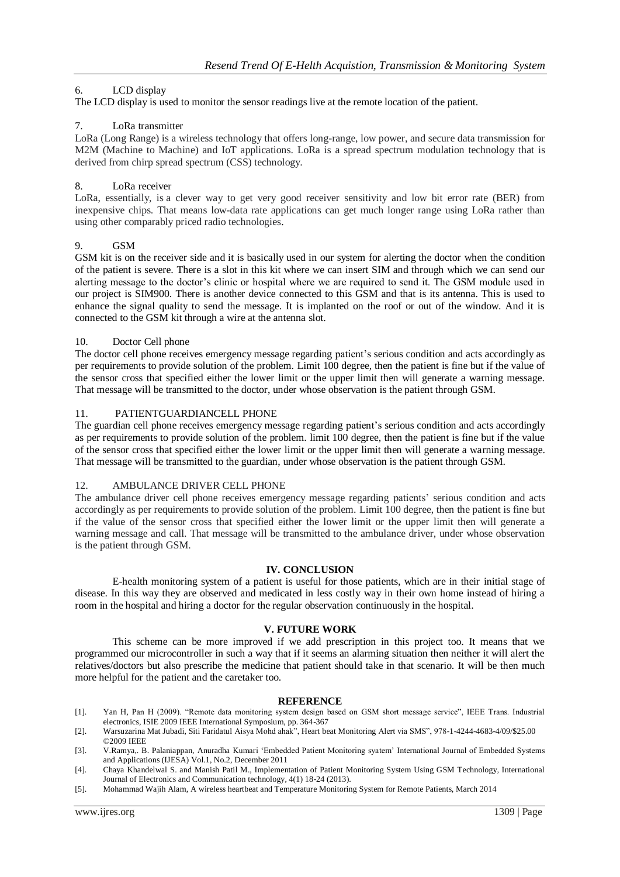# 6. LCD display

The LCD display is used to monitor the sensor readings live at the remote location of the patient.

## 7. LoRa transmitter

LoRa (Long Range) is a wireless technology that offers long-range, low power, and secure data transmission for M2M (Machine to Machine) and IoT applications. LoRa is a spread spectrum modulation technology that is derived from chirp spread spectrum (CSS) technology.

## 8. LoRa receiver

LoRa, essentially, is a clever way to get very good receiver sensitivity and low bit error rate (BER) from inexpensive chips. That means low-data rate applications can get much longer range using LoRa rather than using other comparably priced radio technologies.

## 9. GSM

GSM kit is on the receiver side and it is basically used in our system for alerting the doctor when the condition of the patient is severe. There is a slot in this kit where we can insert SIM and through which we can send our alerting message to the doctor's clinic or hospital where we are required to send it. The GSM module used in our project is SIM900. There is another device connected to this GSM and that is its antenna. This is used to enhance the signal quality to send the message. It is implanted on the roof or out of the window. And it is connected to the GSM kit through a wire at the antenna slot.

#### 10. Doctor Cell phone

The doctor cell phone receives emergency message regarding patient's serious condition and acts accordingly as per requirements to provide solution of the problem. Limit 100 degree, then the patient is fine but if the value of the sensor cross that specified either the lower limit or the upper limit then will generate a warning message. That message will be transmitted to the doctor, under whose observation is the patient through GSM.

#### 11. PATIENTGUARDIANCELL PHONE

The guardian cell phone receives emergency message regarding patient's serious condition and acts accordingly as per requirements to provide solution of the problem. limit 100 degree, then the patient is fine but if the value of the sensor cross that specified either the lower limit or the upper limit then will generate a warning message. That message will be transmitted to the guardian, under whose observation is the patient through GSM.

#### 12. AMBULANCE DRIVER CELL PHONE

The ambulance driver cell phone receives emergency message regarding patients' serious condition and acts accordingly as per requirements to provide solution of the problem. Limit 100 degree, then the patient is fine but if the value of the sensor cross that specified either the lower limit or the upper limit then will generate a warning message and call. That message will be transmitted to the ambulance driver, under whose observation is the patient through GSM.

## **IV. CONCLUSION**

E-health monitoring system of a patient is useful for those patients, which are in their initial stage of disease. In this way they are observed and medicated in less costly way in their own home instead of hiring a room in the hospital and hiring a doctor for the regular observation continuously in the hospital.

# **V. FUTURE WORK**

This scheme can be more improved if we add prescription in this project too. It means that we programmed our microcontroller in such a way that if it seems an alarming situation then neither it will alert the relatives/doctors but also prescribe the medicine that patient should take in that scenario. It will be then much more helpful for the patient and the caretaker too.

#### **REFERENCE**

- [1]. Yan H, Pan H (2009). "Remote data monitoring system design based on GSM short message service", IEEE Trans. Industrial electronics, ISIE 2009 IEEE International Symposium, pp. 364-367
- [2]. Warsuzarina Mat Jubadi, Siti Faridatul Aisya Mohd ahak", Heart beat Monitoring Alert via SMS", 978-1-4244-4683-4/09/\$25.00 ©2009 IEEE
- [3]. V.Ramya,. B. Palaniappan, Anuradha Kumari 'Embedded Patient Monitoring syatem' International Journal of Embedded Systems and Applications (IJESA) Vol.1, No.2, December 2011
- [4]. Chaya Khandelwal S. and Manish Patil M., Implementation of Patient Monitoring System Using GSM Technology, International Journal of Electronics and Communication technology, 4(1) 18-24 (2013).
- [5]. Mohammad Wajih Alam, A wireless heartbeat and Temperature Monitoring System for Remote Patients, March 2014